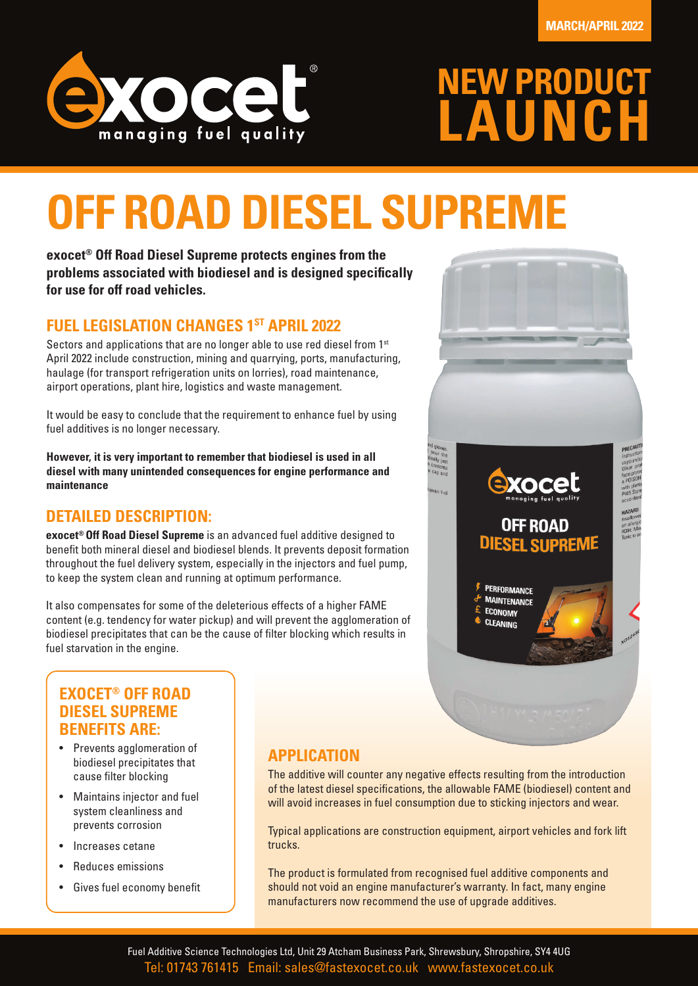

## **NEW PRODUCT LAUNCH**

## **OFF ROAD DIESEL SUPREME**

**exocet® Off Road Diesel Supreme protects engines from the problems associated with biodiesel and is designed specifically for use for off road vehicles.** 

#### **FUEL LEGISLATION CHANGES 1ST APRIL 2022**

Sectors and applications that are no longer able to use red diesel from 1<sup>st</sup> April 2022 include construction, mining and quarrying, ports, manufacturing, haulage (for transport refrigeration units on lorries), road maintenance, airport operations, plant hire, logistics and waste management.

It would be easy to conclude that the requirement to enhance fuel by using fuel additives is no longer necessary.

**However, it is very important to remember that biodiesel is used in all diesel with many unintended consequences for engine performance and maintenance**

#### **DETAILED DESCRIPTION:**

**exocet® Off Road Diesel Supreme** is an advanced fuel additive designed to benefit both mineral diesel and biodiesel blends. It prevents deposit formation throughout the fuel delivery system, especially in the injectors and fuel pump, to keep the system clean and running at optimum performance.

It also compensates for some of the deleterious effects of a higher FAME content (e.g. tendency for water pickup) and will prevent the agglomeration of biodiesel precipitates that can be the cause of filter blocking which results in fuel starvation in the engine.



#### **EXOCET® OFF ROAD DIESEL SUPREME BENEFITS ARE:**

- Prevents agglomeration of biodiesel precipitates that cause filter blocking
- Maintains injector and fuel system cleanliness and prevents corrosion
- Increases cetane
- Reduces emissions
- Gives fuel economy benefit

#### **APPLICATION**

The additive will counter any negative effects resulting from the introduction of the latest diesel specifications, the allowable FAME (biodiesel) content and will avoid increases in fuel consumption due to sticking injectors and wear.

Typical applications are construction equipment, airport vehicles and fork lift trucks.

The product is formulated from recognised fuel additive components and should not void an engine manufacturer's warranty. In fact, many engine manufacturers now recommend the use of upgrade additives.